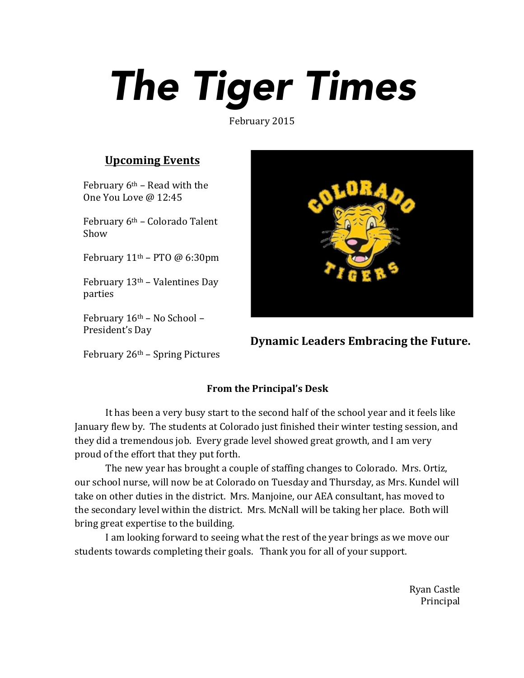## *The Tiger Times*

February 2015

## **Upcoming Events**

February  $6<sup>th</sup>$  – Read with the One You Love @ 12:45

February  $6<sup>th</sup>$  – Colorado Talent Show

February  $11<sup>th</sup>$  – PTO @ 6:30pm

February  $13<sup>th</sup>$  – Valentines Day parties

February  $16<sup>th</sup>$  – No School – President's Day

**Dynamic Leaders Embracing the Future.** 

February  $26<sup>th</sup>$  – Spring Pictures

## **From the Principal's Desk**

It has been a very busy start to the second half of the school year and it feels like January flew by. The students at Colorado just finished their winter testing session, and they did a tremendous job. Every grade level showed great growth, and I am very proud of the effort that they put forth.

The new year has brought a couple of staffing changes to Colorado. Mrs. Ortiz, our school nurse, will now be at Colorado on Tuesday and Thursday, as Mrs. Kundel will take on other duties in the district. Mrs. Manjoine, our AEA consultant, has moved to the secondary level within the district. Mrs. McNall will be taking her place. Both will bring great expertise to the building.

I am looking forward to seeing what the rest of the year brings as we move our students towards completing their goals. Thank you for all of your support.

> Ryan Castle Principal